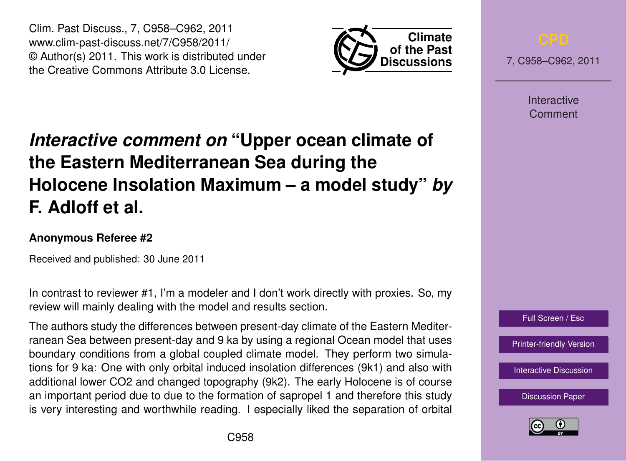Clim. Past Discuss., 7, C958–C962, 2011 www.clim-past-discuss.net/7/C958/2011/ © Author(s) 2011. This work is distributed under the Creative Commons Attribute 3.0 License.



7, C958–C962, 2011

**Interactive** Comment

## *Interactive comment on* **"Upper ocean climate of the Eastern Mediterranean Sea during the Holocene Insolation Maximum – a model study"** *by* **F. Adloff et al.**

## **Anonymous Referee #2**

Received and published: 30 June 2011

In contrast to reviewer #1, I'm a modeler and I don't work directly with proxies. So, my review will mainly dealing with the model and results section.

The authors study the differences between present-day climate of the Eastern Mediterranean Sea between present-day and 9 ka by using a regional Ocean model that uses boundary conditions from a global coupled climate model. They perform two simulations for 9 ka: One with only orbital induced insolation differences (9k1) and also with additional lower CO2 and changed topography (9k2). The early Holocene is of course an important period due to due to the formation of sapropel 1 and therefore this study is very interesting and worthwhile reading. I especially liked the separation of orbital



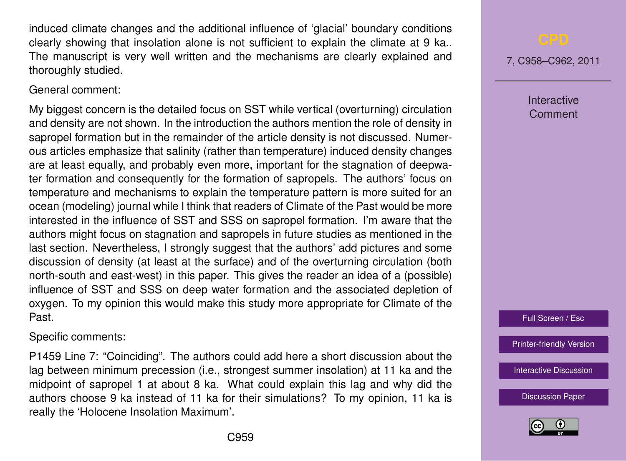induced climate changes and the additional influence of 'glacial' boundary conditions clearly showing that insolation alone is not sufficient to explain the climate at 9 ka.. The manuscript is very well written and the mechanisms are clearly explained and thoroughly studied.

General comment:

My biggest concern is the detailed focus on SST while vertical (overturning) circulation and density are not shown. In the introduction the authors mention the role of density in sapropel formation but in the remainder of the article density is not discussed. Numerous articles emphasize that salinity (rather than temperature) induced density changes are at least equally, and probably even more, important for the stagnation of deepwater formation and consequently for the formation of sapropels. The authors' focus on temperature and mechanisms to explain the temperature pattern is more suited for an ocean (modeling) journal while I think that readers of Climate of the Past would be more interested in the influence of SST and SSS on sapropel formation. I'm aware that the authors might focus on stagnation and sapropels in future studies as mentioned in the last section. Nevertheless, I strongly suggest that the authors' add pictures and some discussion of density (at least at the surface) and of the overturning circulation (both north-south and east-west) in this paper. This gives the reader an idea of a (possible) influence of SST and SSS on deep water formation and the associated depletion of oxygen. To my opinion this would make this study more appropriate for Climate of the Past.

Specific comments:

P1459 Line 7: "Coinciding". The authors could add here a short discussion about the lag between minimum precession (i.e., strongest summer insolation) at 11 ka and the midpoint of sapropel 1 at about 8 ka. What could explain this lag and why did the authors choose 9 ka instead of 11 ka for their simulations? To my opinion, 11 ka is really the 'Holocene Insolation Maximum'.

7, C958–C962, 2011

Interactive Comment



[Printer-friendly Version](http://www.clim-past-discuss.net/7/C958/2011/cpd-7-C958-2011-print.pdf)

[Interactive Discussion](http://www.clim-past-discuss.net/7/1457/2011/cpd-7-1457-2011-discussion.html)

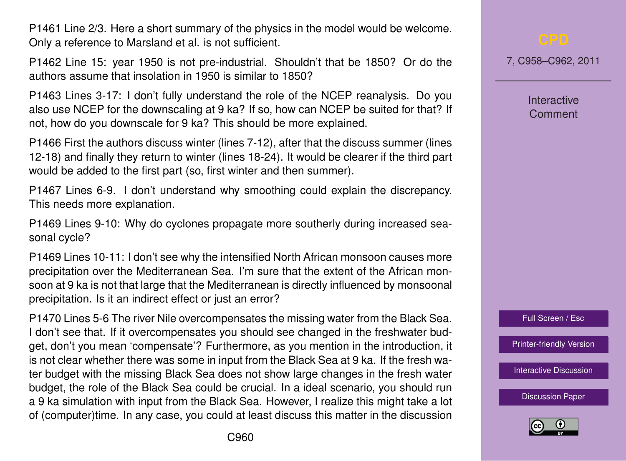P1461 Line 2/3. Here a short summary of the physics in the model would be welcome. Only a reference to Marsland et al. is not sufficient.

P1462 Line 15: year 1950 is not pre-industrial. Shouldn't that be 1850? Or do the authors assume that insolation in 1950 is similar to 1850?

P1463 Lines 3-17: I don't fully understand the role of the NCEP reanalysis. Do you also use NCEP for the downscaling at 9 ka? If so, how can NCEP be suited for that? If not, how do you downscale for 9 ka? This should be more explained.

P1466 First the authors discuss winter (lines 7-12), after that the discuss summer (lines 12-18) and finally they return to winter (lines 18-24). It would be clearer if the third part would be added to the first part (so, first winter and then summer).

P1467 Lines 6-9. I don't understand why smoothing could explain the discrepancy. This needs more explanation.

P1469 Lines 9-10: Why do cyclones propagate more southerly during increased seasonal cycle?

P1469 Lines 10-11: I don't see why the intensified North African monsoon causes more precipitation over the Mediterranean Sea. I'm sure that the extent of the African monsoon at 9 ka is not that large that the Mediterranean is directly influenced by monsoonal precipitation. Is it an indirect effect or just an error?

P1470 Lines 5-6 The river Nile overcompensates the missing water from the Black Sea. I don't see that. If it overcompensates you should see changed in the freshwater budget, don't you mean 'compensate'? Furthermore, as you mention in the introduction, it is not clear whether there was some in input from the Black Sea at 9 ka. If the fresh water budget with the missing Black Sea does not show large changes in the fresh water budget, the role of the Black Sea could be crucial. In a ideal scenario, you should run a 9 ka simulation with input from the Black Sea. However, I realize this might take a lot of (computer)time. In any case, you could at least discuss this matter in the discussion

7, C958–C962, 2011

Interactive Comment



[Printer-friendly Version](http://www.clim-past-discuss.net/7/C958/2011/cpd-7-C958-2011-print.pdf)

[Interactive Discussion](http://www.clim-past-discuss.net/7/1457/2011/cpd-7-1457-2011-discussion.html)

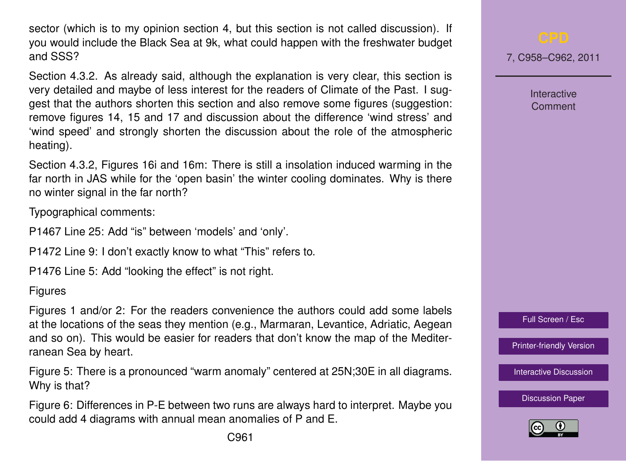sector (which is to my opinion section 4, but this section is not called discussion). If you would include the Black Sea at 9k, what could happen with the freshwater budget and SSS?

Section 4.3.2. As already said, although the explanation is very clear, this section is very detailed and maybe of less interest for the readers of Climate of the Past. I suggest that the authors shorten this section and also remove some figures (suggestion: remove figures 14, 15 and 17 and discussion about the difference 'wind stress' and 'wind speed' and strongly shorten the discussion about the role of the atmospheric heating).

Section 4.3.2, Figures 16i and 16m: There is still a insolation induced warming in the far north in JAS while for the 'open basin' the winter cooling dominates. Why is there no winter signal in the far north?

Typographical comments:

P1467 Line 25: Add "is" between 'models' and 'only'.

P1472 Line 9: I don't exactly know to what "This" refers to.

P1476 Line 5: Add "looking the effect" is not right.

Figures

Figures 1 and/or 2: For the readers convenience the authors could add some labels at the locations of the seas they mention (e.g., Marmaran, Levantice, Adriatic, Aegean and so on). This would be easier for readers that don't know the map of the Mediterranean Sea by heart.

Figure 5: There is a pronounced "warm anomaly" centered at 25N;30E in all diagrams. Why is that?

Figure 6: Differences in P-E between two runs are always hard to interpret. Maybe you could add 4 diagrams with annual mean anomalies of P and E.

7, C958–C962, 2011

Interactive Comment



[Printer-friendly Version](http://www.clim-past-discuss.net/7/C958/2011/cpd-7-C958-2011-print.pdf)

[Interactive Discussion](http://www.clim-past-discuss.net/7/1457/2011/cpd-7-1457-2011-discussion.html)